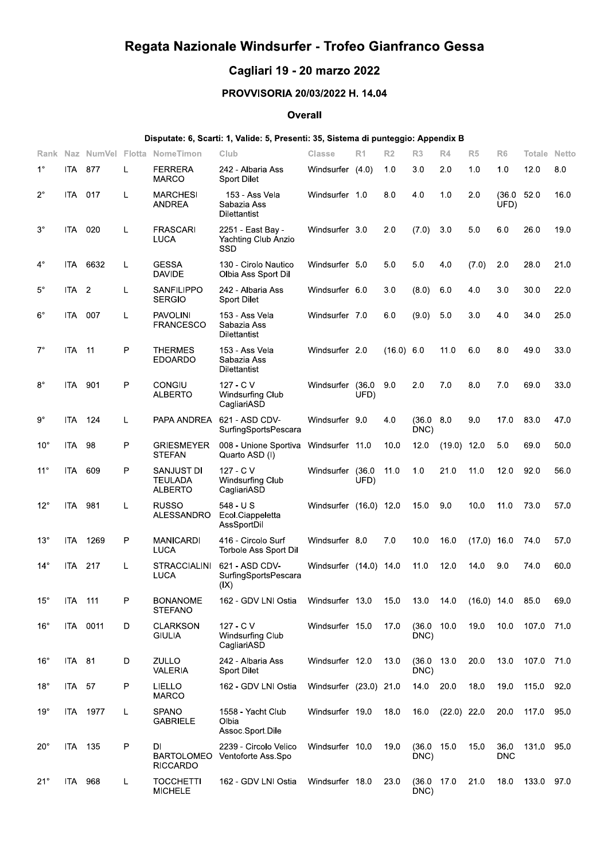# Regata Nazionale Windsurfer - Trofeo Gianfranco Gessa

# Cagliari 19 - 20 marzo 2022

## PROVVISORIA 20/03/2022 H. 14.04

#### **Overall**

### Disputate: 6, Scarti: 1, Valide: 5, Presenti: 35, Sistema di punteggio: Appendix B

| Rank         |                  | Naz NumVel Flotta |    | NomeTimon                                  | Club                                                 | Classe                 | R <sub>1</sub> | R <sub>2</sub> | R <sub>3</sub>      | R4            | R <sub>5</sub> | R <sub>6</sub>     | Totale | <b>Netto</b> |
|--------------|------------------|-------------------|----|--------------------------------------------|------------------------------------------------------|------------------------|----------------|----------------|---------------------|---------------|----------------|--------------------|--------|--------------|
| $1^{\circ}$  | ITA.             | 877               | L  | <b>FERRERA</b><br><b>MARCO</b>             | 242 - Albaria Ass<br><b>Sport Dilet</b>              | Windsurfer (4.0)       |                | 1.0            | 3.0                 | 2.0           | 1.0            | 1.0                | 12.0   | 8.0          |
| $2^{\circ}$  | ITA 017          |                   | L  | <b>MARCHESI</b><br><b>ANDREA</b>           | 153 - Ass Vela<br>Sabazia Ass<br><b>Dilettantist</b> | Windsurfer 1.0         |                | 8.0            | 4.0                 | 1.0           | 2.0            | (36.0)<br>UFD)     | 52.0   | 16.0         |
| $3^{\circ}$  | ITA -            | 020               | L  | <b>FRASCARI</b><br>LUCA                    | 2251 East Bay -<br>Yachting Club Anzio<br>SSD        | Windsurfer 3.0         |                | 2.0            | (7.0)               | 3.0           | 5.0            | 6.0                | 26.0   | 19.0         |
| 4°           |                  | ITA 6632          | L  | <b>GESSA</b><br><b>DAVIDE</b>              | 130 - Cirolo Nautico<br>Olbia Ass Sport Dil          | Windsurfer 5.0         |                | 5.0            | 5.0                 | 4.0           | (7.0)          | 2.0                | 28.0   | 21.0         |
| 5°           | ITA <sub>2</sub> |                   | L  | <b>SANFILIPPO</b><br><b>SERGIO</b>         | 242 - Albaria Ass<br><b>Sport Dilet</b>              | Windsurfer 6.0         |                | 3.0            | (8.0)               | 6.0           | 4.0            | 3.0                | 30.0   | 22.0         |
| $6^{\circ}$  | ITA -            | 007               | L  | <b>PAVOLINI</b><br><b>FRANCESCO</b>        | 153 - Ass Vela<br>Sabazia Ass<br><b>Dilettantist</b> | Windsurfer 7.0         |                | 6.0            | (9.0)               | 5.0           | 3.0            | 4.0                | 34.0   | 25.0         |
| $7^\circ$    | ITA.             | $-11$             | Ρ  | <b>THERMES</b><br><b>EDOARDO</b>           | 153 - Ass Vela<br>Sabazia Ass<br><b>Dilettantist</b> | Windsurfer 2.0         |                | (16.0) 6.0     |                     | 11.0          | 6.0            | 8.0                | 49.0   | 33.0         |
| $8^{\circ}$  | ITA -            | 901               | P  | <b>CONGIU</b><br><b>ALBERTO</b>            | 127 - C V<br>Windsurfing Club<br>CagliariASD         | Windsurfer             | (36.0)<br>UFD) | 9.0            | 2.0                 | 7.0           | 8.0            | 7.0                | 69.0   | 33.0         |
| $9^{\circ}$  | ITA.             | 124               | L. | PAPA ANDREA                                | 621 - ASD CDV-<br>SurfingSportsPescara               | Windsurfer 9.0         |                | 4.0            | (36.0)<br>DNC)      | 8.0           | 9.0            | 17.0               | 83.0   | 47.0         |
| $10^{\circ}$ | ITA.             | -98               | P  | <b>GRIESMEYER</b><br><b>STEFAN</b>         | 008 - Unione Sportiva<br>Quarto ASD (I)              | Windsurfer 11.0        |                | 10.0           | 12.0                | (19.0)        | 12.0           | 5.0                | 69.0   | 50.0         |
| $11^{\circ}$ | ITA.             | 609               | P  | SANJUST DI<br>TEULADA<br>ALBERTO           | 127 - C V<br>Windsurfing Club<br>CagliariASD         | Windsurfer             | (36.0)<br>UFD) | 11.0           | 1.0                 | 21.0          | 11.0           | 12.0               | 92.0   | 56.0         |
| $12^{\circ}$ | ITA 981          |                   | L  | <b>RUSSO</b><br>ALESSANDRO                 | $548 - U$ S<br>Ecol.Ciappeletta<br>AssSportDil       | Windsurfer (16.0) 12.0 |                |                | 15.0                | 9.0           | 10.0           | 11.0               | 73.0   | 57.0         |
| $13^\circ$   | ITA.             | 1269              | P  | <b>MANICARDI</b><br>LUCA                   | 416 - Circolo Surf<br>Torbole Ass Sport Dil          | Windsurfer 8.0         |                | 7.0            | 10.0                | 16.0          | $(17.0)$ 16.0  |                    | 74.0   | 57.0         |
| $14^{\circ}$ | ITA -            | 217               | L  | <b>STRACCIALINI</b><br>LUCA                | 621 - ASD CDV-<br>SurfingSportsPescara<br>(IX)       | Windsurfer (14.0) 14.0 |                |                | 11.0                | 12.0          | 14.0           | 9.0                | 74.0   | 60.0         |
| $15^\circ$   | ITA              | 111               | P  | <b>BONANOME</b><br><b>STEFANO</b>          | 162 - GDV LNI Ostia                                  | Windsurfer 13.0        |                | 15.0           | 13.0                | 14.0          | $(16.0)$ 14.0  |                    | 85.0   | 69.0         |
| $16^{\circ}$ |                  | ITA 0011          | D  | <b>CLARKSON</b><br><b>GIULIA</b>           | 127 - C V<br>Windsurfing Club<br>CagliariASD         | Windsurfer 15.0        |                | 17.0           | (36.0 10.0<br>DNC)  |               | 19.0           | 10.0               | 107.0  | 71.0         |
| $16^{\circ}$ | ITA 81           |                   | D  | ZULLO<br><b>VALERIA</b>                    | 242 - Albaria Ass<br>Sport Dilet                     | Windsurfer 12.0        |                | 13.0           | (36.0 13.0)<br>DNC) |               | 20.0           | 13.0               | 107.0  | 71.0         |
| $18^{\circ}$ | <b>ITA 57</b>    |                   | P  | <b>LIELLO</b><br><b>MARCO</b>              | 162 - GDV LNI Ostia                                  | Windsurfer (23.0) 21.0 |                |                | 14.0                | 20.0          | 18.0           | 19.0               | 115.0  | 92.0         |
| $19^{\circ}$ |                  | ITA 1977          | L  | <b>SPANO</b><br><b>GABRIELE</b>            | 1558 - Yacht Club<br>Olbia<br>Assoc.Sport.Dile       | Windsurfer 19.0        |                | 18.0           | 16.0                | $(22.0)$ 22.0 |                | 20.0               | 117.0  | 95.0         |
| $20^{\circ}$ | ITA 135          |                   | Ρ  | DI<br><b>BARTOLOMEO</b><br><b>RICCARDO</b> | 2239 - Circolo Velico<br>Ventoforte Ass.Spo          | Windsurfer 10.0        |                | 19.0           | (36.0 15.0<br>DNC)  |               | 15.0           | 36.0<br><b>DNC</b> | 131.0  | 95.0         |
| $21^{\circ}$ | ITA 968          |                   | L  | <b>TOCCHETTI</b><br><b>MICHELE</b>         | 162 - GDV LNI Ostia                                  | Windsurfer 18.0        |                | 23.0           | (36.0 17.0<br>DNC)  |               | 21.0           | 18.0               | 133.0  | 97.0         |